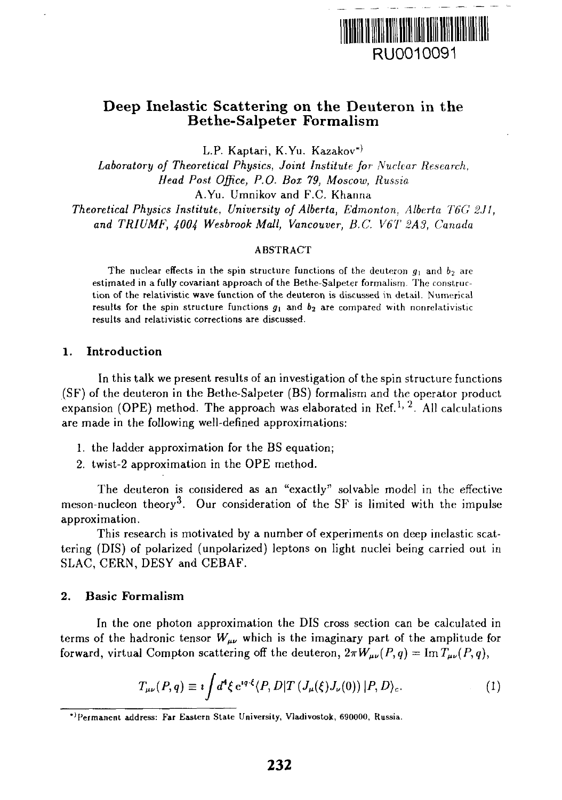

# Deep Inelastic Scattering on the Deuteron in the Bethe-Salpeter Formalism

L.P. Kaptari, K.Yu. Kazakov<sup>\*)</sup>

*Laboratory of Theoretical Physics, Joint Institute for Nuclear Research, Head Post Office, P.O. Box 79, Moscow, Russia* A.Yu. Umnikov and F.C. Khanna

*Theoretical Physics Institute, University of Alberta, Edmonton. Alberta T6G2J1, and TRIUMF, 4004 Wesbrook Mall, Vancouver, B.C. V6T 2A3, Canada*

#### ABSTRACT

The nuclear effects in the spin structure functions of the deuteron  $g_1$  and  $b_2$  are estimated in a fully covariant approach of the Bethe-Salpeter formalism. The construction of the relativistic wave function of the deuteron is discussed in detail. Numerical results for the spin structure functions  $g_1$  and  $b_2$  are compared with nonrelativistic results and relativistic corrections are discussed.

#### **1. Introduction**

In this talk we present results of an investigation of the spin structure functions (SF) of the deuteron in the Bethe-Salpeter (BS) formalism and the operator product expansion (OPE) method. The approach was elaborated in Ref.<sup>1, 2</sup>. All calculations are made in the following well-defined approximations:

- 1. the ladder approximation for the BS equation;
- 2. twist-2 approximation in the OPE method.

The deuteron is considered as an "exactly" solvable model in the effective meson-nucleon theory<sup>3</sup>. Our consideration of the SF is limited with the impulse approximation.

This research is motivated by a number of experiments on deep inelastic scattering (DIS) of polarized (unpolarized) leptons on light nuclei being carried out in SLAC, CERN, DESY and GEBAF.

## **2. Basic Formalism**

In the one photon approximation the DIS cross section can be calculated in terms of the hadronic tensor  $W_{\mu\nu}$  which is the imaginary part of the amplitude for forward, virtual Compton scattering off the deuteron,  $2\pi W_{\mu\nu}(P,q) = \text{Im } T_{\mu\nu}(P,q)$ ,

$$
T_{\mu\nu}(P,q) \equiv i \int d^4 \xi \, e^{iq \cdot \xi} \langle P, D | T \left( J_\mu(\xi) J_\nu(0) \right) | P, D \rangle_c. \tag{1}
$$

<sup>&</sup>quot;'Permanent address: Far Eastern State University, Vladivostok, 690000, Russia.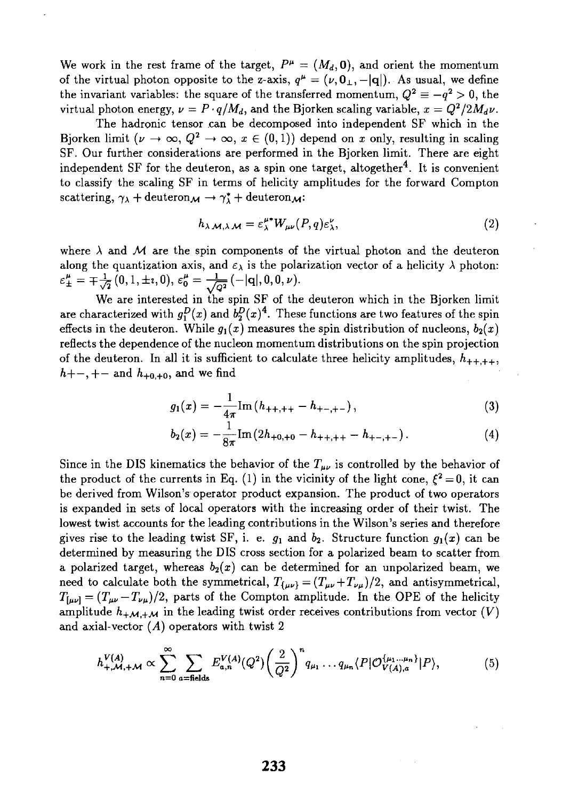We work in the rest frame of the target,  $P^{\mu} = (M_d, \mathbf{0})$ , and orient the momentum of the virtual photon opposite to the z-axis,  $q^{\mu} = (\nu, 0_{\perp}, - |q|)$ . As usual, we define the invariant variables: the square of the transferred momentum,  $Q^2 \equiv -q^2 > 0$ , the virtual photon energy,  $\nu = P \cdot q/M_d$ , and the Bjorken scaling variable,  $x = Q^2/2M_d\nu$ .

The hadronic tensor can be decomposed into independent SF which in the Bjorken limit  $(\nu \to \infty, Q^2 \to \infty, x \in (0,1))$  depend on x only, resulting in scaling SF. Our further considerations are performed in the Bjorken limit. There are eight independent SF for the deuteron, as a spin one target, altogether<sup>4</sup>. It is convenient to classify the scaling SF in terms of helicity amplitudes for the forward Compton scattering,  $\gamma_{\lambda}$  + deuteron $\mathcal{M} \rightarrow \gamma_{\lambda}^{*}$  + deuteron $\mathcal{M}$ :

$$
h_{\lambda \mathcal{M},\lambda \mathcal{M}} = \varepsilon_{\lambda}^{\mu*} W_{\mu\nu}(P,q) \varepsilon_{\lambda}^{\nu}, \qquad (2)
$$

where  $\lambda$  and  $\mathcal M$  are the spin components of the virtual photon and the deuteron along the quantization axis, and  $\varepsilon_{\lambda}$  is the polarization vector of a helicity  $\lambda$  photon:  $\varepsilon_{\pm}^{\mu} = \mp \frac{1}{\sqrt{2}}(0,1,\pm i,0), \, \varepsilon_{0}^{\mu} = \frac{1}{\sqrt{Q^{2}}}( -|\mathbf{q}|,0,0,\nu).$ 

We are interested in the spin SF of the deuteron which in the Bjorken limit are characterized with  $g_1^D(x)$  and  $b_2^D(x)^4$ . These functions are two features of the spin effects in the deuteron. While  $g_1(x)$  measures the spin distribution of nucleons,  $b_2(x)$ reflects the dependence of the nucleon momentum distributions on the spin projection of the deuteron. In all it is sufficient to calculate three helicity amplitudes,  $h_{++++}$ ,  $h + -, + -$  and  $h_{+0,+0}$ , and we find

$$
g_1(x) = -\frac{1}{4\pi} \text{Im} \left( h_{++,++} - h_{+-,+-} \right), \tag{3}
$$

$$
b_2(x) = -\frac{1}{8\pi} \text{Im} \left( 2h_{+0,+0} - h_{++,++} - h_{+-,+-} \right). \tag{4}
$$

Since in the DIS kinematics the behavior of the  $T_{\mu\nu}$  is controlled by the behavior of the product of the currents in Eq. (1) in the vicinity of the light cone,  $\xi^2 = 0$ , it can be derived from Wilson's operator product expansion. The product of two operators is expanded in sets of local operators with the increasing order of their twist. The lowest twist accounts for the leading contributions in the Wilson's series and therefore gives rise to the leading twist SF, i. e.  $g_1$  and  $b_2$ . Structure function  $g_1(x)$  can be determined by measuring the DIS cross section for a polarized beam to scatter from a polarized target, whereas  $b_2(x)$  can be determined for an unpolarized beam, we need to calculate both the symmetrical,  $T_{\{\mu\nu\}} = (T_{\mu\nu} + T_{\nu\mu})/2$ , and antisymmetrical,  $T_{[\mu\nu]} = (T_{\mu\nu} - T_{\nu\mu})/2$ , parts of the Compton amplitude. In the OPE of the helicity amplitude  $h_{+\mathcal{M},+\mathcal{M}}$  in the leading twist order receives contributions from vector  $(V)$ and axial-vector *(A)* operators with twist 2

$$
h_{+,\mathcal{M},+\mathcal{M}}^{V(A)} \propto \sum_{n=0}^{\infty} \sum_{a=\text{fields}} E_{a,n}^{V(A)}(Q^2) \left(\frac{2}{Q^2}\right)^n q_{\mu_1} \dots q_{\mu_n} \langle P | \mathcal{O}_{V(A),a}^{\{\mu_1\dots\mu_n\}} | P \rangle, \tag{5}
$$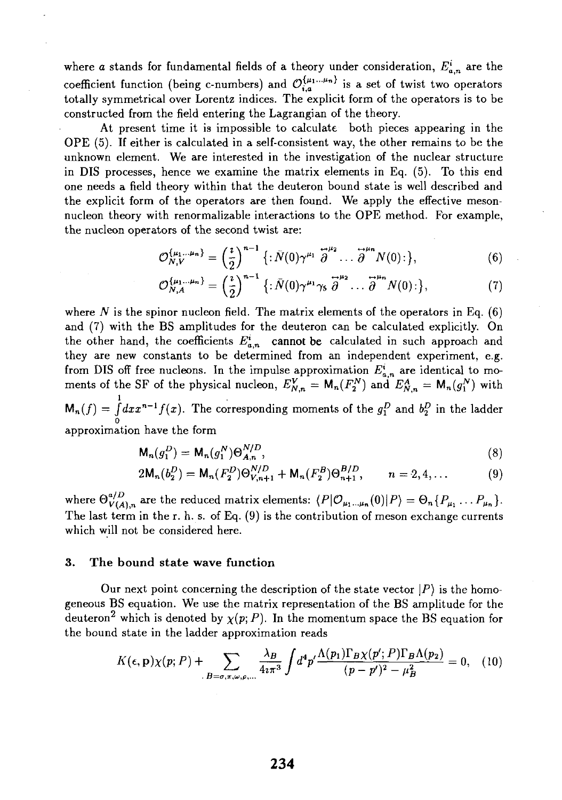where *a* stands for fundamental fields of a theory under consideration,  $E^i_{a,n}$  are the coefficient function (being c-numbers) and  $\mathcal{O}_{i}^{\{\mu_1...\mu_n\}}$  is a set of twist two operators totally symmetrical over Lorentz indices. The explicit form of the operators is to be constructed from the field entering the Lagrangian of the theory.

At present time it is impossible to calculate both pieces appearing in the OPE (5). If either is calculated in a self-consistent way, the other remains to be the unknown element. We are interested in the investigation of the nuclear structure in DIS processes, hence we examine the matrix elements in Eq. (5). To this end one needs a field theory within that the deuteron bound state is well described and the explicit form of the operators are then found. We apply the effective mesonnucleon theory with renormalizable interactions to the OPE method. For example, the nucleon operators of the second twist are:

$$
\mathcal{O}_{N,V}^{\{\mu_1\ldots\mu_n\}} = \left(\frac{\imath}{2}\right)^{n-1} \left\{:\bar{N}(0)\gamma^{\mu_1} \stackrel{\rightarrow}{\partial}^{\mu_2} \ldots \stackrel{\rightarrow}{\partial}^{\mu_n} N(0) : \right\},\tag{6}
$$

$$
\mathcal{O}_{N,A}^{\{\mu_1\dots\mu_n\}} = \left(\frac{\imath}{2}\right)^{n-1} \left\{:\bar{N}(0)\gamma^{\mu_1}\gamma_5 \stackrel{\leftrightarrow}{\partial}^{\mu_2}\dots \stackrel{\leftrightarrow}{\partial}^{\mu_n} N(0) : \right\},\tag{7}
$$

where N is the spinor nucleon field. The matrix elements of the operators in Eq. (6) and (7) with the BS amplitudes for the deuteron can be calculated explicitly. On the other hand, the coefficients  $E^i_{n,n}$  cannot be calculated in such approach and they are new constants to be determined from an independent experiment, e.g. from DIS off free nucleons. In the impulse approximation  $E^i_{a,n}$  are identical to moments of the SF of the physical nucleon,  $E^{V}_{N,n} = M_n(F_2^N)$  and  $E^{A}_{N,n} = M_n(g_1^N)$  with  $\mathsf{M}_n(f) = \int_0^1 dx x^{n-1} f(x)$ . The corresponding moments of the  $g_1^D$  and  $b_2^D$  in the ladder approximation have the form

$$
\mathsf{M}_n(g_1^D) = \mathsf{M}_n(g_1^N) \Theta_{A,n}^{N/D},\tag{8}
$$

$$
2\mathsf{M}_{n}(b_{2}^{D}) = \mathsf{M}_{n}(F_{2}^{D})\Theta_{V,n+1}^{N/D} + \mathsf{M}_{n}(F_{2}^{B})\Theta_{n+1}^{B/D}, \qquad n = 2, 4, ... \qquad (9)
$$

where  $\Theta_{V(A),n}^{a/D}$  are the reduced matrix elements:  $\langle P|O_{\mu_1...\mu_n}(0)|P\rangle = \Theta_n\{P_{\mu_1} \dots P_{\mu_n}\}.$ The last term in the r. h. s. of Eq. (9) is the contribution of meson exchange currents which will not be considered here.

#### **3. The bound state wave function**

Our next point concerning the description of the state vector  $\langle P \rangle$  is the homogeneous BS equation. We use the matrix representation of the BS amplitude for the deuteron<sup>2</sup> which is denoted by  $\chi(p; P)$ . In the momentum space the BS equation for the bound state in the ladder approximation reads

$$
K(\epsilon, \mathbf{p})\chi(p; P) + \sum_{B=\sigma, \pi, \omega, \rho, \dots} \frac{\lambda_B}{4i\pi^3} \int d^4p' \frac{\Lambda(p_1)\Gamma_B\chi(p'; P)\Gamma_B\Lambda(p_2)}{(p-p')^2 - \mu_B^2} = 0, \quad (10)
$$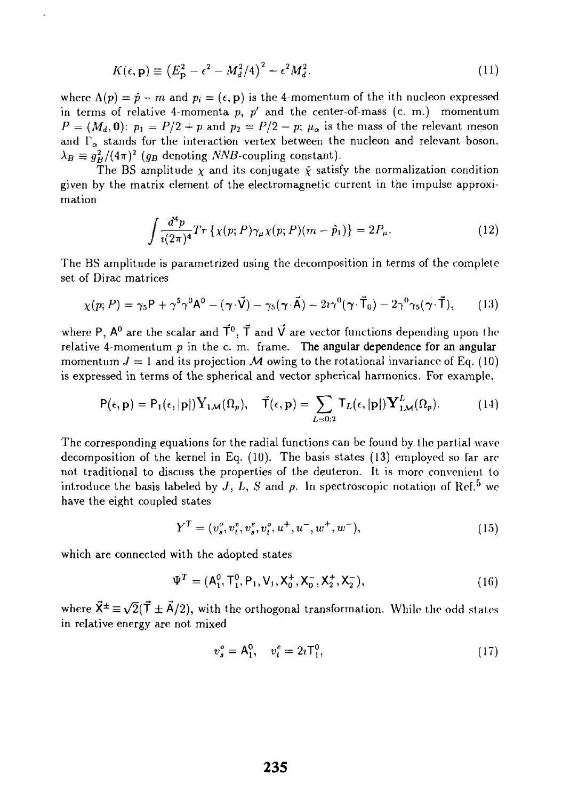$$
K(\epsilon, \mathbf{p}) \equiv \left(E_{\mathbf{p}}^2 - \epsilon^2 - M_d^2/4\right)^2 - \epsilon^2 M_d^2. \tag{11}
$$

where  $\Lambda(p) = \hat{p} - m$  and  $p_i = (\epsilon, \mathbf{p})$  is the 4-momentum of the ith nucleon expressed in terms of relative 4-momenta *p, p'* and the center-of-mass (c. m.) momentum  $P = (M_d, \mathbf{0})$ :  $p_1 = P/2 + p$  and  $p_2 = P/2 - p$ ;  $\mu_\alpha$  is the mass of the relevant meson and  $\Gamma_{\alpha}$  stands for the interaction vertex between the nucleon and relevant boson,  $\lambda_B \equiv g_B^2/(4\pi)^2$  ( $g_B$  denoting NNB-coupling constant).

The BS amplitude  $\chi$  and its conjugate  $\bar{\chi}$  satisfy the normalization condition given by the matrix element of the electromagnetic current in the impulse approximation

$$
\int \frac{d^4p}{i(2\pi)^4} Tr\left\{ \bar{\chi}(p;P)\gamma_\mu \chi(p;P)(m-\hat{p}_1) \right\} = 2P_\mu.
$$
 (12)

The BS amplitude is parametrized using the decomposition in terms of the complete set of Dirac matrices

$$
\chi(p;P) = \gamma_5 P + \gamma^5 \gamma^0 A^0 - (\gamma \cdot \vec{V}) - \gamma_5 (\gamma \cdot \vec{A}) - 2i \gamma^0 (\gamma \cdot \vec{T}_0) - 2\gamma^0 \gamma_5 (\gamma \cdot \vec{T}), \qquad (13)
$$

where P,  $\mathsf{A}^0$  are the scalar and  $\vec{\mathsf{T}}^0,\,\vec{\mathsf{T}}$  and  $\vec{\mathsf{V}}$  are vector functions depending upon the relative 4-momentum *p* in the c. m. frame. **The angular dependence for an angular** momentum  $J = 1$  and its projection M owing to the rotational invariance of Eq. (10) is expressed in terms of the spherical and vector spherical harmonics. For example.

$$
P(\epsilon, \mathbf{p}) = P_1(\epsilon, |\mathbf{p}|) Y_{1\mathcal{M}}(\Omega_p), \quad \vec{T}(\epsilon, \mathbf{p}) = \sum_{L=0,2} T_L(\epsilon, |\mathbf{p}|) Y_{1\mathcal{M}}^L(\Omega_p).
$$
 (14)

The corresponding equations for the radial functions can be found by the partial wave decomposition of the kernel in Eq. (10). The basis states (13) employed so far are not traditional to discuss the properties of the deuteron. It is more convenient to introduce the basis labeled by  $J, L, S$  and  $\rho$ . In spectroscopic notation of Ref.<sup>5</sup> we have the eight coupled states

$$
Y^T = (v_s^o, v_t^e, v_s^e, v_t^o, u^+, u^-, w^+, w^-),
$$
\n(15)

which are connected with the adopted states

$$
\Psi^T = (A_1^0, T_1^0, P_1, V_1, X_0^+, X_0^-, X_2^+, X_2^-),
$$
\n(16)

where  $\vec{X}^{\pm} \equiv \sqrt{2}(\vec{T} \pm \vec{A}/2)$ , with the orthogonal transformation. While the odd states in relative energy are not mixed

$$
v_s^o = A_1^0, \quad v_t^e = 2\imath \mathsf{T}_1^0, \tag{17}
$$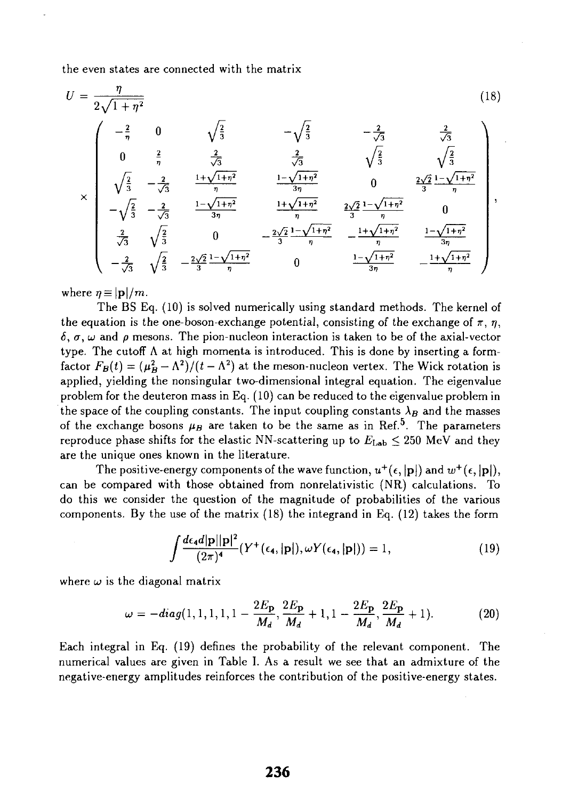the even states are connected with the matrix

$$
U = \frac{\eta}{2\sqrt{1+\eta^2}}
$$
\n
$$
\times \begin{pmatrix}\n-\frac{2}{\eta} & 0 & \sqrt{\frac{2}{3}} & -\sqrt{\frac{2}{3}} & -\frac{2}{\sqrt{3}} \\
0 & \frac{2}{\eta} & \frac{2}{\sqrt{3}} & \frac{2}{\sqrt{3}} & \sqrt{\frac{2}{3}} \\
\sqrt{\frac{2}{3}} & -\frac{2}{\sqrt{3}} & \frac{1+\sqrt{1+\eta^2}}{\eta} & \frac{1-\sqrt{1+\eta^2}}{3\eta} & 0 & \frac{2\sqrt{2}}{3}\frac{1-\sqrt{1+\eta^2}}{\eta} \\
-\sqrt{\frac{2}{3}} & -\frac{2}{\sqrt{3}} & \frac{1-\sqrt{1+\eta^2}}{\eta} & \frac{1+\sqrt{1+\eta^2}}{\eta} & \frac{2\sqrt{2}}{3}\frac{1-\sqrt{1+\eta^2}}{\eta} & 0 \\
\frac{2}{\sqrt{3}} & \sqrt{\frac{2}{3}} & 0 & -\frac{2\sqrt{2}}{3}\frac{1-\sqrt{1+\eta^2}}{\eta} & \frac{2\sqrt{2}}{\eta} & \frac{1-\sqrt{1+\eta^2}}{\eta} & \frac{1-\sqrt{1+\eta^2}}{3\eta} \\
-\frac{2}{\sqrt{3}} & \sqrt{\frac{2}{3}} & -\frac{2\sqrt{2}}{3}\frac{1-\sqrt{1+\eta^2}}{\eta} & 0 & \frac{1-\sqrt{1+\eta^2}}{3\eta} & -\frac{1+\sqrt{1+\eta^2}}{\eta}\n\end{pmatrix},
$$
\n(18)

where  $\eta \equiv |\mathbf{p}|/m$ .

The BS Eq. (10) is solved numerically using standard methods. The kernel of the equation is the one-boson-exchange potential, consisting of the exchange of  $\pi$ ,  $\eta$ ,  $\delta$ ,  $\sigma$ ,  $\omega$  and  $\rho$  mesons. The pion-nucleon interaction is taken to be of the axial-vector type. The cutoff  $\Lambda$  at high momenta is introduced. This is done by inserting a formfactor  $F_B(t) = (\mu_B^2 - \Lambda^2)/(t - \Lambda^2)$  at the meson-nucleon vertex. The Wick rotation is applied, yielding the nonsingular two-dimensional integral equation. The eigenvalue problem for the deuteron mass in Eq. (10) can be reduced to the eigenvalue problem in the space of the coupling constants. The input coupling constants  $\lambda_B$  and the masses of the exchange bosons  $\mu_B$  are taken to be the same as in Ref.<sup>5</sup>. The parameters reproduce phase shifts for the elastic NN-scattering up to  $E_{\text{Lab}} \leq 250$  MeV and they are the unique ones known in the literature.

The positive-energy components of the wave function,  $u^+(\epsilon,|\mathbf{p}|)$  and  $w^+(\epsilon,|\mathbf{p}|)$ , can be compared with those obtained from nonrelativistic (NR) calculations. To do this we consider the question of the magnitude of probabilities of the various components. By the use of the matrix (18) the integrand in Eq. (12) takes the form

$$
\int \frac{d\epsilon_{4}d|\mathbf{p}||\mathbf{p}|^{2}}{(2\pi)^{4}}(Y^{+}(\epsilon_{4},|\mathbf{p}|),\omega Y(\epsilon_{4},|\mathbf{p}|))=1,
$$
\n(19)

where  $\omega$  is the diagonal matrix

$$
\omega = -diag(1, 1, 1, 1, 1, 1 - \frac{2E_{\mathbf{p}}}{M_d}, \frac{2E_{\mathbf{p}}}{M_d} + 1, 1 - \frac{2E_{\mathbf{p}}}{M_d}, \frac{2E_{\mathbf{p}}}{M_d} + 1).
$$
(20)

Each integral in Eq. (19) defines the probability of the relevant component. The numerical values are given in Table I. As a result we see that an admixture of the negative-energy amplitudes reinforces the contribution of the positive-energy states.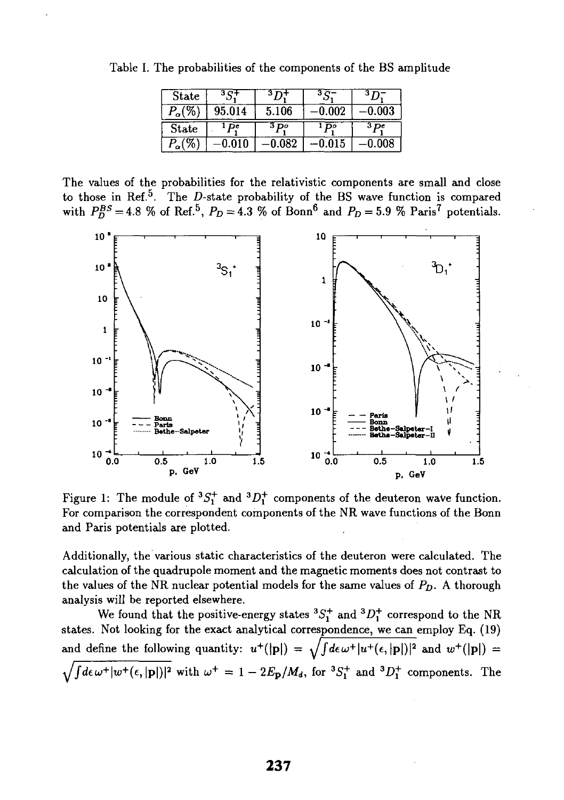| State         |        |         |       | 3 D         |
|---------------|--------|---------|-------|-------------|
| $P_\alpha$ (% | 95.014 | 5.106   | 0.002 | $\,0.003\,$ |
|               |        |         |       |             |
| State         | De     | $3 p_0$ | Do.   | 3 pe        |

Table I. The probabilities of the components of the BS amplitude

The values of the probabilities for the relativistic components are small and close to those in Ref.<sup>5</sup>. The *D*-state probability of the BS wave function is compared with  $P_D^{BS} = 4.8$  % of Ref.<sup>5</sup>,  $P_D = 4.3$  % of Bonn<sup>6</sup> and  $P_D = 5.9$  % Paris<sup>7</sup> potentials.



Figure 1: The module of  ${}^{3}S_{1}^{+}$  and  ${}^{3}D_{1}^{+}$  components of the deuteron wave function. For comparison the correspondent components of the NR wave functions of the Bonn and Paris potentials are plotted.

Additionally, the various static characteristics of the deuteron were calculated. The calculation of the quadrupole moment and the magnetic moments does not contrast to the values of the NR nuclear potential models for the same values of *Pp.* A thorough analysis will be reported elsewhere.

We found that the positive-energy states  ${}^{3}S_{1}^{+}$  and  ${}^{3}D_{1}^{+}$  correspond to the NR states. Not looking for the exact analytical correspondence, we can employ Eq. (19) and define the following quantity:  $u^+([\mathbf{p}]) = \sqrt{\int d\epsilon \,\omega^+ |u^+(\epsilon, |\mathbf{p}|)^2}$  and  $w^+([\mathbf{p}]) =$  $\sqrt{\int d\epsilon \,\omega^+ |w^+(\epsilon,|\mathbf{p}|)|^2}$  with  $\omega^+=1-2E_\mathbf{p}/M_d$ , for  ${}^3S_1^+$  and  ${}^3D_1^+$  components. The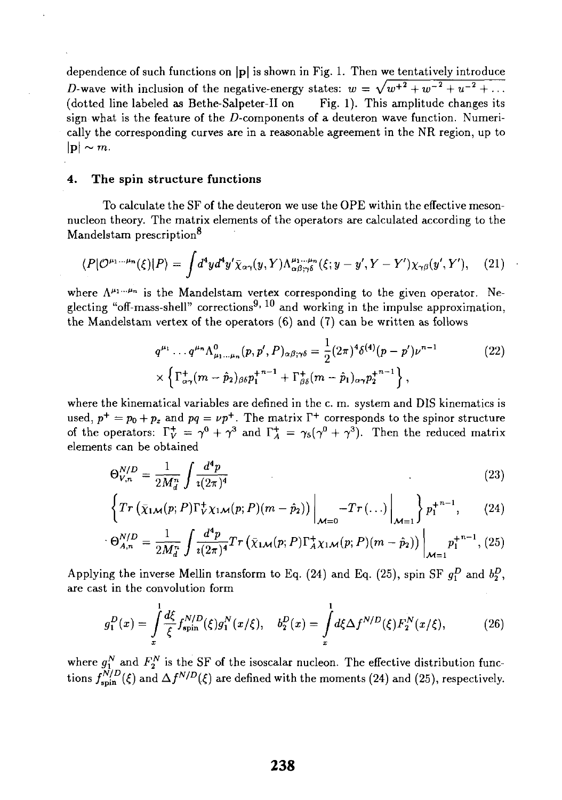dependence of such functions on |p| is shown in Fig. 1. Then we tentatively introduce D-wave with inclusion of the negative-energy states:  $w = \sqrt{w^2 + w^2 + w^2 + w^2 + \ldots}$ (dotted line labeled as Bethe-Salpeter-II on Fig. 1). This amplitude changes its sign what is the feature of the  $D$ -components of a deuteron wave function. Numerically the corresponding curves are in a reasonable agreement in the NR region, up to  $|{\bf p}|\sim m$ .

## **4. The spin structure functions**

To calculate the SF of the deuteron we use the OPE within the effective mesonnucleon theory. The matrix elements of the operators are calculated according to the Mandelstam prescription<sup>8</sup>

$$
\langle P|\mathcal{O}^{\mu_1\ldots\mu_n}(\xi)|P\rangle = \int d^4y d^4y' \bar{\chi}_{\alpha\gamma}(y,Y)\Lambda^{\mu_1\ldots\mu_n}_{\alpha\beta;\gamma\delta}(\xi;y-y',Y-Y')\chi_{\gamma\beta}(y',Y'),\quad (21)
$$

where  $\Lambda^{\mu_1...\mu_n}$  is the Mandelstam vertex corresponding to the given operator. Neglecting "off-mass-shell" corrections<sup>9, 10</sup> and working in the impulse approximation, the Mandelstam vertex of the operators (6) and (7) can be written as follows

$$
q^{\mu_1} \cdots q^{\mu_n} \Lambda^0_{\mu_1 \cdots \mu_n}(p, p', P)_{\alpha \beta; \gamma \delta} = \frac{1}{2} (2\pi)^4 \delta^{(4)}(p - p') \nu^{n-1}
$$
  
 
$$
\times \left\{ \Gamma^+_{\alpha \gamma} (m - \hat{p}_2)_{\beta \delta} p_1^{+n-1} + \Gamma^+_{\beta \delta} (m - \hat{p}_1)_{\alpha \gamma} p_2^{+n-1} \right\},
$$
 (22)

where the kinematical variables are defined in the c. m. system and DIS kinematics is used,  $p^+ = p_0 + p_z$  and  $pq = \nu p^+$ . The matrix  $\Gamma^+$  corresponds to the spinor structure of the operators:  $\Gamma_V^+ = \gamma^0 + \gamma^3$  and  $\Gamma_A^+ = \gamma_5(\gamma^0 + \gamma^3)$ . Then the reduced matrix elements can be obtained

$$
\Theta_{V,n}^{N/D} = \frac{1}{2M_d^n} \int \frac{d^4p}{i(2\pi)^4} \tag{23}
$$

$$
\left\{Tr\left(\bar{\chi}_{1\mathcal{M}}(p;P)\Gamma_{V\mathcal{X}_{1\mathcal{M}}}(p;P)(m-\hat{p}_2)\right)\bigg|_{\mathcal{M}=0} -Tr\left(\ldots\right)\bigg|_{\mathcal{M}=1}\right\}p_1^{+n-1},\qquad(24)
$$

$$
\Theta_{A,n}^{N/D} = \frac{1}{2M_d^n} \int \frac{d^4p}{i(2\pi)^4} Tr(\bar{\chi}_{1\mathcal{M}}(p;P) \Gamma_A^+ \chi_{1\mathcal{M}}(p;P)(m-\hat{p}_2)) \Big|_{\mathcal{M}=1} p_1^{+^{n-1}}, (25)
$$

Applying the inverse Mellin transform to Eq. (24) and Eq. (25), spin SF  $q_p^D$  and  $b_p^D$ , are cast in the convolution form

$$
g_1^D(x) = \int_x^1 \frac{d\xi}{\xi} f_{\text{spin}}^{N/D}(\xi) g_1^N(x/\xi), \quad b_2^D(x) = \int_x^1 d\xi \Delta f^{N/D}(\xi) F_2^N(x/\xi), \tag{26}
$$

where  $g_1^N$  and  $F_2^N$  is the SF of the isoscalar nucleon. The effective distribution functions  $f_{\text{spin}}^{N/D}(\xi)$  and  $\Delta f^{N/D}(\xi)$  are defined with the moments (24) and (25), respectively.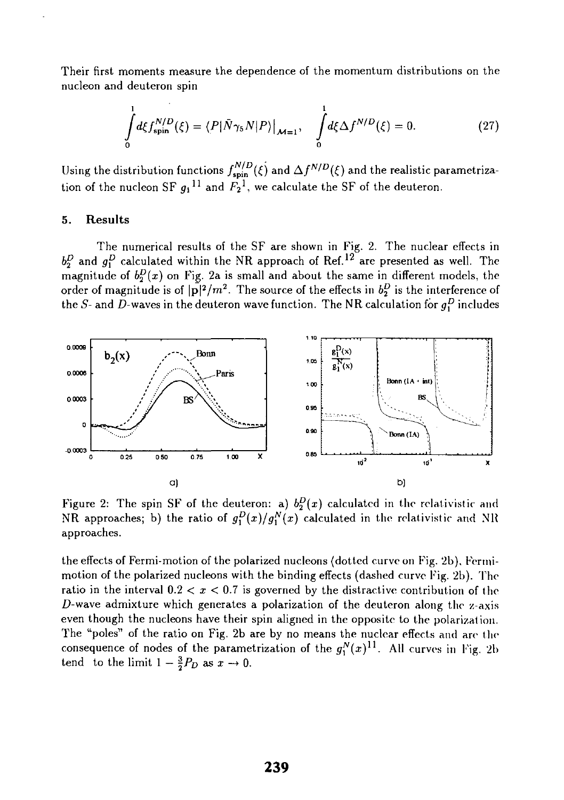Their first moments measure the dependence of the momentum distributions on the nucleon and deuteron spin

$$
\int_{0}^{1} d\xi f_{\text{spin}}^{N/D}(\xi) = \langle P|\bar{N}\gamma_{5}N|P\rangle|_{\mathcal{M}=1}, \quad \int_{0}^{1} d\xi \Delta f^{N/D}(\xi) = 0. \tag{27}
$$

Using the distribution functions  $f_{spin}^{N/D}(\xi)$  and  $\Delta f^{N/D}(\xi)$  and the realistic parametrization of the nucleon SF  $q_1$ <sup>11</sup> and  $F_2$ <sup>1</sup>, we calculate the SF of the deuteron.

### **5. Results**

The numerical results of the SF are shown in Fig. 2. The nuclear effects in  $b_2^D$  and  $g_1^D$  calculated within the NR approach of Ref.<sup>12</sup> are presented as well. The magnitude of  $b_2^D(x)$  on Fig. 2a is small and about the same in different models, the order of magnitude is of  $|\bar{\mathbf{p}}|^2/m^2$ . The source of the effects in  $b_2^D$  is the interference of the S- and D-waves in the deuteron wave function. The NR calculation for  $g_1^D$  includes



Figure 2: The spin SF of the deuteron: a)  $b_2^D(x)$  calculated in the relativistic and NR approaches; b) the ratio of  $g_1^D(x)/g_1^N(x)$  calculated in the relativistic and NR approaches.

the effects of Fermi-motion of the polarized nucleons (dotted curve on Fig. 2b). Fermimotion of the polarized nucleons with the binding effects (dashed curve Fig. 2b). The ratio in the interval  $0.2 < x < 0.7$  is governed by the distractive contribution of the D-wave admixture which generates a polarization of the deuteron along the z-axis even though the nucleons have their spin aligned in the opposite to the polarization. The "poles" of the ratio on Fig. 2b are by no means the nuclear effects and are the consequence of nodes of the parametrization of the  $g_1^N(x)^{11}$ . All curves in Fig. 2b tend to the limit  $1 - \frac{3}{2}P_D$  as  $x \to 0$ .